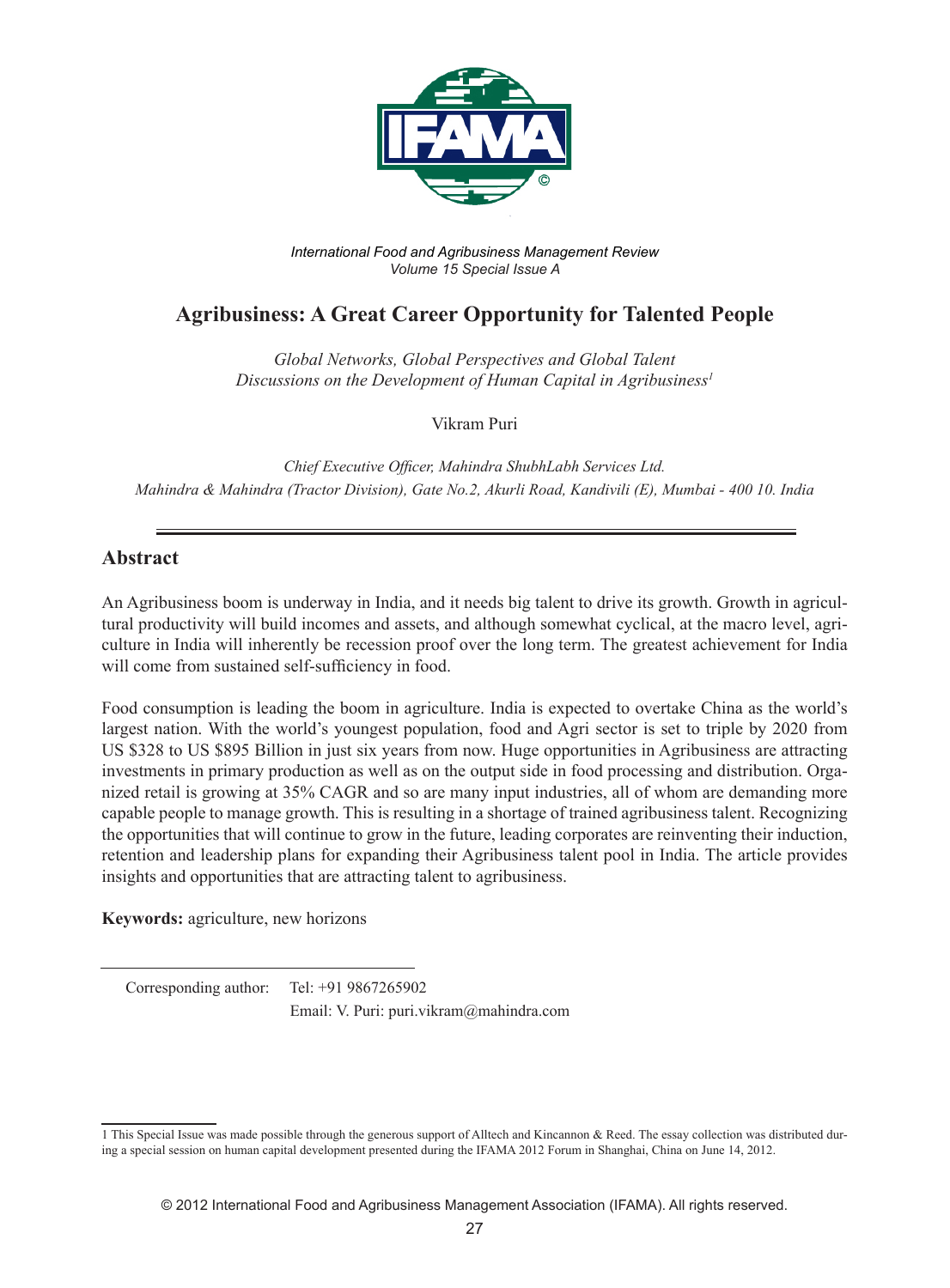

*International Food and Agribusiness Management Review Volume 15 Special Issue A*

# **Agribusiness: A Great Career Opportunity for Talented People**

*Global Networks, Global Perspectives and Global Talent Discussions on the Development of Human Capital in Agribusiness1*

Vikram Puri

*Chief Executive Officer, Mahindra ShubhLabh Services Ltd. Mahindra & Mahindra (Tractor Division), Gate No.2, Akurli Road, Kandivili (E), Mumbai - 400 10. India* 

### **Abstract**

An Agribusiness boom is underway in India, and it needs big talent to drive its growth. Growth in agricultural productivity will build incomes and assets, and although somewhat cyclical, at the macro level, agriculture in India will inherently be recession proof over the long term. The greatest achievement for India will come from sustained self-sufficiency in food.

Food consumption is leading the boom in agriculture. India is expected to overtake China as the world's largest nation. With the world's youngest population, food and Agri sector is set to triple by 2020 from US \$328 to US \$895 Billion in just six years from now. Huge opportunities in Agribusiness are attracting investments in primary production as well as on the output side in food processing and distribution. Organized retail is growing at 35% CAGR and so are many input industries, all of whom are demanding more capable people to manage growth. This is resulting in a shortage of trained agribusiness talent. Recognizing the opportunities that will continue to grow in the future, leading corporates are reinventing their induction, retention and leadership plans for expanding their Agribusiness talent pool in India. The article provides insights and opportunities that are attracting talent to agribusiness.

**Keywords:** agriculture, new horizons

Corresponding author: Tel: +91 9867265902

Email: V. Puri: puri.vikram@mahindra.com

<sup>1</sup> This Special Issue was made possible through the generous support of Alltech and Kincannon & Reed. The essay collection was distributed during a special session on human capital development presented during the IFAMA 2012 Forum in Shanghai, China on June 14, 2012.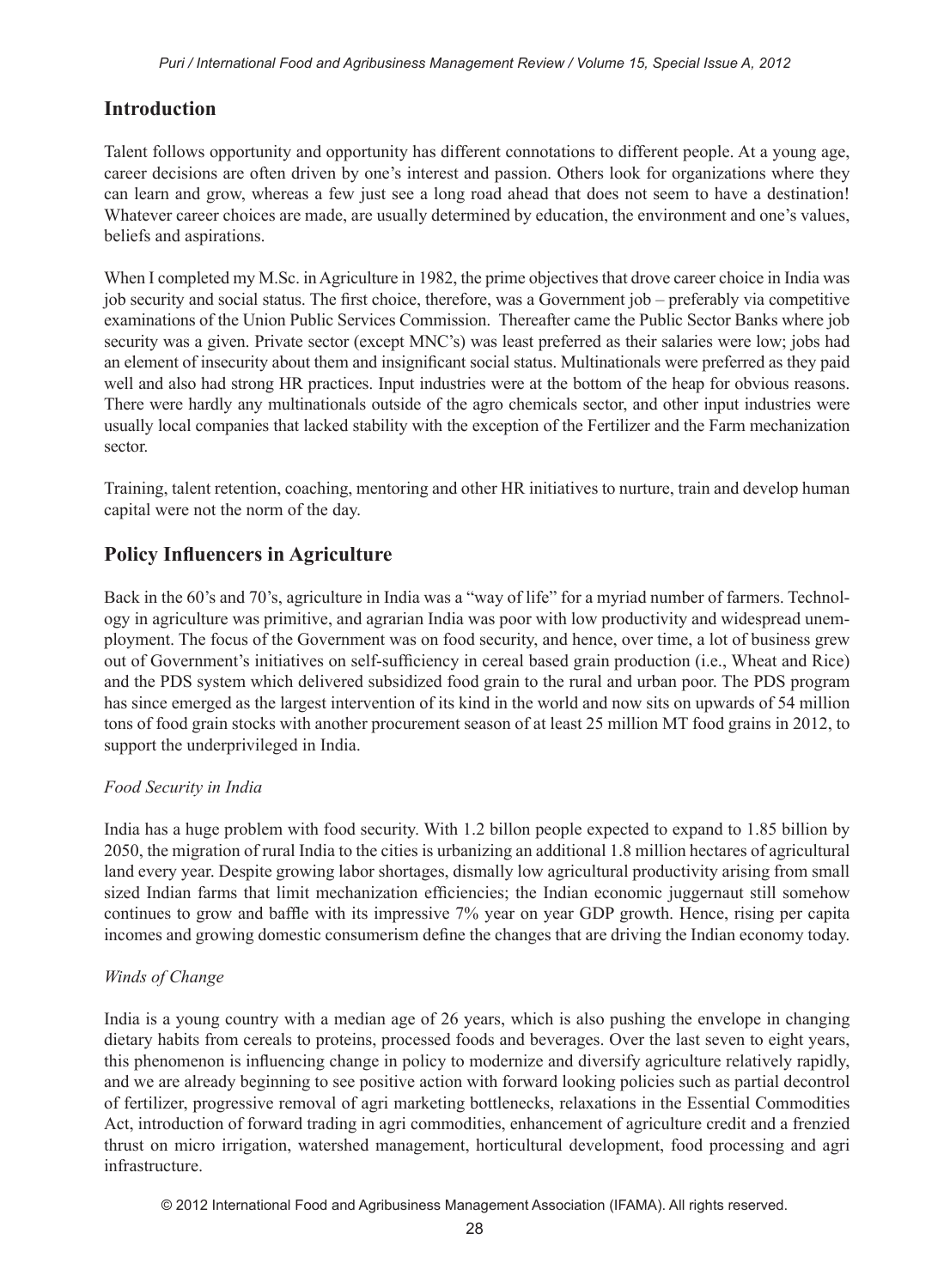## **Introduction**

Talent follows opportunity and opportunity has different connotations to different people. At a young age, career decisions are often driven by one's interest and passion. Others look for organizations where they can learn and grow, whereas a few just see a long road ahead that does not seem to have a destination! Whatever career choices are made, are usually determined by education, the environment and one's values, beliefs and aspirations.

When I completed my M.Sc. in Agriculture in 1982, the prime objectives that drove career choice in India was job security and social status. The first choice, therefore, was a Government job – preferably via competitive examinations of the Union Public Services Commission. Thereafter came the Public Sector Banks where job security was a given. Private sector (except MNC's) was least preferred as their salaries were low; jobs had an element of insecurity about them and insignificant social status. Multinationals were preferred as they paid well and also had strong HR practices. Input industries were at the bottom of the heap for obvious reasons. There were hardly any multinationals outside of the agro chemicals sector, and other input industries were usually local companies that lacked stability with the exception of the Fertilizer and the Farm mechanization sector.

Training, talent retention, coaching, mentoring and other HR initiatives to nurture, train and develop human capital were not the norm of the day.

# **Policy Influencers in Agriculture**

Back in the 60's and 70's, agriculture in India was a "way of life" for a myriad number of farmers. Technology in agriculture was primitive, and agrarian India was poor with low productivity and widespread unemployment. The focus of the Government was on food security, and hence, over time, a lot of business grew out of Government's initiatives on self-sufficiency in cereal based grain production (i.e., Wheat and Rice) and the PDS system which delivered subsidized food grain to the rural and urban poor. The PDS program has since emerged as the largest intervention of its kind in the world and now sits on upwards of 54 million tons of food grain stocks with another procurement season of at least 25 million MT food grains in 2012, to support the underprivileged in India.

#### *Food Security in India*

India has a huge problem with food security. With 1.2 billon people expected to expand to 1.85 billion by 2050, the migration of rural India to the cities is urbanizing an additional 1.8 million hectares of agricultural land every year. Despite growing labor shortages, dismally low agricultural productivity arising from small sized Indian farms that limit mechanization efficiencies; the Indian economic juggernaut still somehow continues to grow and baffle with its impressive 7% year on year GDP growth. Hence, rising per capita incomes and growing domestic consumerism define the changes that are driving the Indian economy today.

#### *Winds of Change*

India is a young country with a median age of 26 years, which is also pushing the envelope in changing dietary habits from cereals to proteins, processed foods and beverages. Over the last seven to eight years, this phenomenon is influencing change in policy to modernize and diversify agriculture relatively rapidly, and we are already beginning to see positive action with forward looking policies such as partial decontrol of fertilizer, progressive removal of agri marketing bottlenecks, relaxations in the Essential Commodities Act, introduction of forward trading in agri commodities, enhancement of agriculture credit and a frenzied thrust on micro irrigation, watershed management, horticultural development, food processing and agri infrastructure.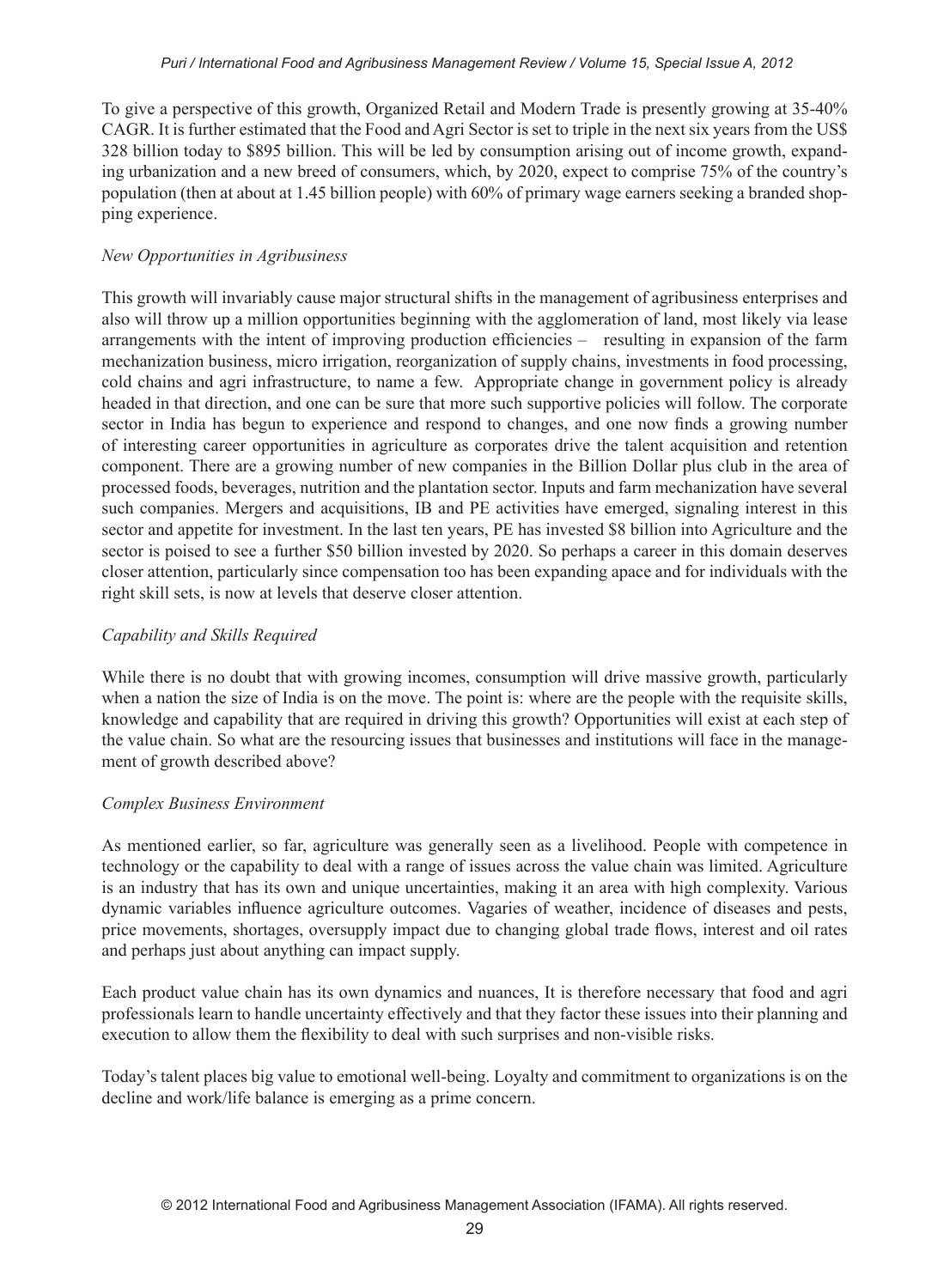To give a perspective of this growth, Organized Retail and Modern Trade is presently growing at 35-40% CAGR. It is further estimated that the Food and Agri Sector is set to triple in the next six years from the US\$ 328 billion today to \$895 billion. This will be led by consumption arising out of income growth, expanding urbanization and a new breed of consumers, which, by 2020, expect to comprise 75% of the country's population (then at about at 1.45 billion people) with 60% of primary wage earners seeking a branded shopping experience.

#### *New Opportunities in Agribusiness*

This growth will invariably cause major structural shifts in the management of agribusiness enterprises and also will throw up a million opportunities beginning with the agglomeration of land, most likely via lease arrangements with the intent of improving production efficiencies – resulting in expansion of the farm mechanization business, micro irrigation, reorganization of supply chains, investments in food processing, cold chains and agri infrastructure, to name a few. Appropriate change in government policy is already headed in that direction, and one can be sure that more such supportive policies will follow. The corporate sector in India has begun to experience and respond to changes, and one now finds a growing number of interesting career opportunities in agriculture as corporates drive the talent acquisition and retention component. There are a growing number of new companies in the Billion Dollar plus club in the area of processed foods, beverages, nutrition and the plantation sector. Inputs and farm mechanization have several such companies. Mergers and acquisitions, IB and PE activities have emerged, signaling interest in this sector and appetite for investment. In the last ten years, PE has invested \$8 billion into Agriculture and the sector is poised to see a further \$50 billion invested by 2020. So perhaps a career in this domain deserves closer attention, particularly since compensation too has been expanding apace and for individuals with the right skill sets, is now at levels that deserve closer attention.

#### *Capability and Skills Required*

While there is no doubt that with growing incomes, consumption will drive massive growth, particularly when a nation the size of India is on the move. The point is: where are the people with the requisite skills, knowledge and capability that are required in driving this growth? Opportunities will exist at each step of the value chain. So what are the resourcing issues that businesses and institutions will face in the management of growth described above?

#### *Complex Business Environment*

As mentioned earlier, so far, agriculture was generally seen as a livelihood. People with competence in technology or the capability to deal with a range of issues across the value chain was limited. Agriculture is an industry that has its own and unique uncertainties, making it an area with high complexity. Various dynamic variables influence agriculture outcomes. Vagaries of weather, incidence of diseases and pests, price movements, shortages, oversupply impact due to changing global trade flows, interest and oil rates and perhaps just about anything can impact supply.

Each product value chain has its own dynamics and nuances, It is therefore necessary that food and agri professionals learn to handle uncertainty effectively and that they factor these issues into their planning and execution to allow them the flexibility to deal with such surprises and non-visible risks.

Today's talent places big value to emotional well-being. Loyalty and commitment to organizations is on the decline and work/life balance is emerging as a prime concern.